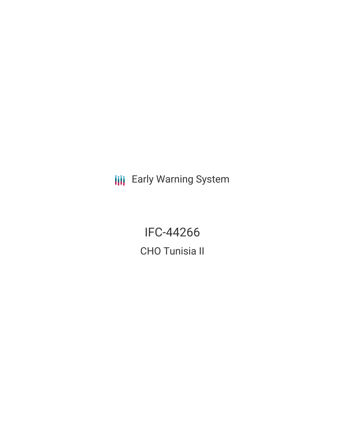**III** Early Warning System

IFC-44266 CHO Tunisia II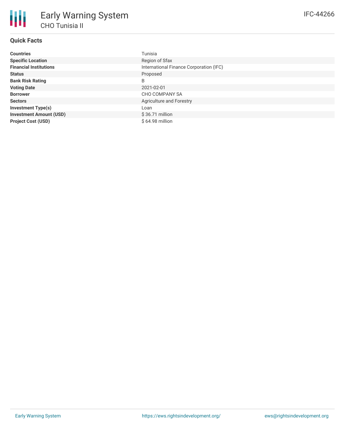# **Quick Facts**

| <b>Countries</b>               | Tunisia                                 |
|--------------------------------|-----------------------------------------|
| <b>Specific Location</b>       | Region of Sfax                          |
| <b>Financial Institutions</b>  | International Finance Corporation (IFC) |
| <b>Status</b>                  | Proposed                                |
| <b>Bank Risk Rating</b>        | B                                       |
| <b>Voting Date</b>             | 2021-02-01                              |
| <b>Borrower</b>                | CHO COMPANY SA                          |
| <b>Sectors</b>                 | Agriculture and Forestry                |
| <b>Investment Type(s)</b>      | Loan                                    |
| <b>Investment Amount (USD)</b> | $$36.71$ million                        |
| <b>Project Cost (USD)</b>      | \$64.98 million                         |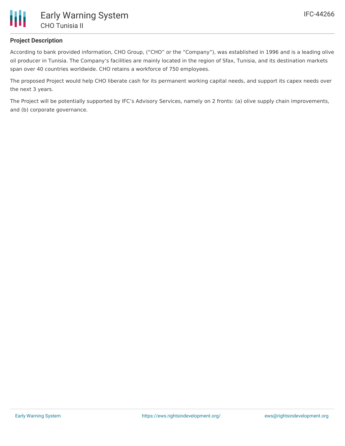

# **Project Description**

According to bank provided information, CHO Group, ("CHO" or the "Company"), was established in 1996 and is a leading olive oil producer in Tunisia. The Company's facilities are mainly located in the region of Sfax, Tunisia, and its destination markets span over 40 countries worldwide. CHO retains a workforce of 750 employees.

The proposed Project would help CHO liberate cash for its permanent working capital needs, and support its capex needs over the next 3 years.

The Project will be potentially supported by IFC's Advisory Services, namely on 2 fronts: (a) olive supply chain improvements, and (b) corporate governance.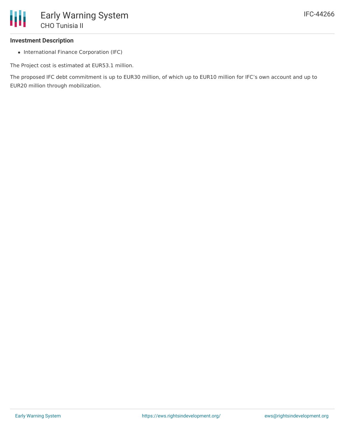### **Investment Description**

• International Finance Corporation (IFC)

The Project cost is estimated at EUR53.1 million.

The proposed IFC debt commitment is up to EUR30 million, of which up to EUR10 million for IFC's own account and up to EUR20 million through mobilization.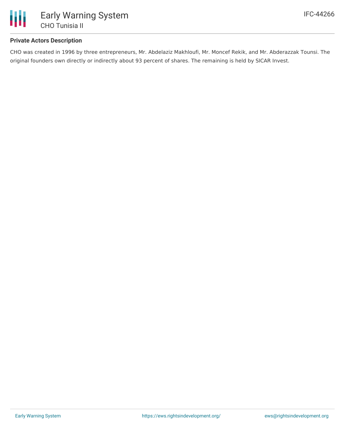

# **Private Actors Description**

CHO was created in 1996 by three entrepreneurs, Mr. Abdelaziz Makhloufi, Mr. Moncef Rekik, and Mr. Abderazzak Tounsi. The original founders own directly or indirectly about 93 percent of shares. The remaining is held by SICAR Invest.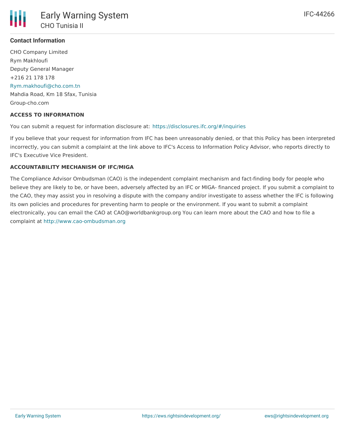# **Contact Information**

CHO Company Limited Rym Makhloufi Deputy General Manager +216 21 178 178 [Rym.makhoufi@cho.com.tn](mailto:Rym.makhoufi@cho.com.tn) Mahdia Road, Km 18 Sfax, Tunisia Group-cho.com

#### **ACCESS TO INFORMATION**

You can submit a request for information disclosure at: <https://disclosures.ifc.org/#/inquiries>

If you believe that your request for information from IFC has been unreasonably denied, or that this Policy has been interpreted incorrectly, you can submit a complaint at the link above to IFC's Access to Information Policy Advisor, who reports directly to IFC's Executive Vice President.

#### **ACCOUNTABILITY MECHANISM OF IFC/MIGA**

The Compliance Advisor Ombudsman (CAO) is the independent complaint mechanism and fact-finding body for people who believe they are likely to be, or have been, adversely affected by an IFC or MIGA- financed project. If you submit a complaint to the CAO, they may assist you in resolving a dispute with the company and/or investigate to assess whether the IFC is following its own policies and procedures for preventing harm to people or the environment. If you want to submit a complaint electronically, you can email the CAO at CAO@worldbankgroup.org You can learn more about the CAO and how to file a complaint at <http://www.cao-ombudsman.org>